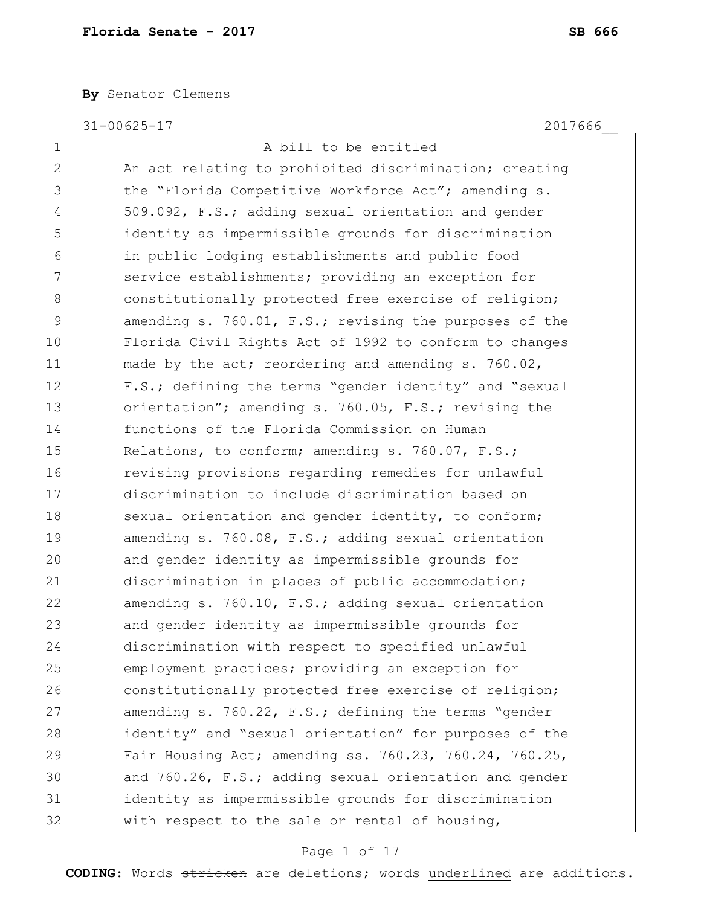**By** Senator Clemens

31-00625-17 2017666\_\_

1 A bill to be entitled 2 An act relating to prohibited discrimination; creating 3 1 the "Florida Competitive Workforce Act"; amending s. 4 509.092, F.S.; adding sexual orientation and gender 5 identity as impermissible grounds for discrimination 6 in public lodging establishments and public food 7 3 12 service establishments; providing an exception for 8 8 8 constitutionally protected free exercise of religion; 9 amending s. 760.01, F.S.; revising the purposes of the 10 Florida Civil Rights Act of 1992 to conform to changes 11 made by the act; reordering and amending s. 760.02, 12 F.S.; defining the terms "gender identity" and "sexual 13 orientation"; amending s. 760.05, F.S.; revising the 14 functions of the Florida Commission on Human 15 Relations, to conform; amending s. 760.07, F.S.; 16 **revising provisions regarding remedies for unlawful** 17 discrimination to include discrimination based on 18 sexual orientation and gender identity, to conform; 19 amending s. 760.08, F.S.; adding sexual orientation 20 and gender identity as impermissible grounds for 21 discrimination in places of public accommodation; 22 amending s. 760.10, F.S.; adding sexual orientation 23 and gender identity as impermissible grounds for 24 discrimination with respect to specified unlawful 25 employment practices; providing an exception for 26 constitutionally protected free exercise of religion; 27 amending s. 760.22, F.S.; defining the terms "gender 28 identity" and "sexual orientation" for purposes of the 29 Fair Housing Act; amending ss. 760.23, 760.24, 760.25, 30 and 760.26, F.S.; adding sexual orientation and gender 31 identity as impermissible grounds for discrimination  $32$  with respect to the sale or rental of housing,

### Page 1 of 17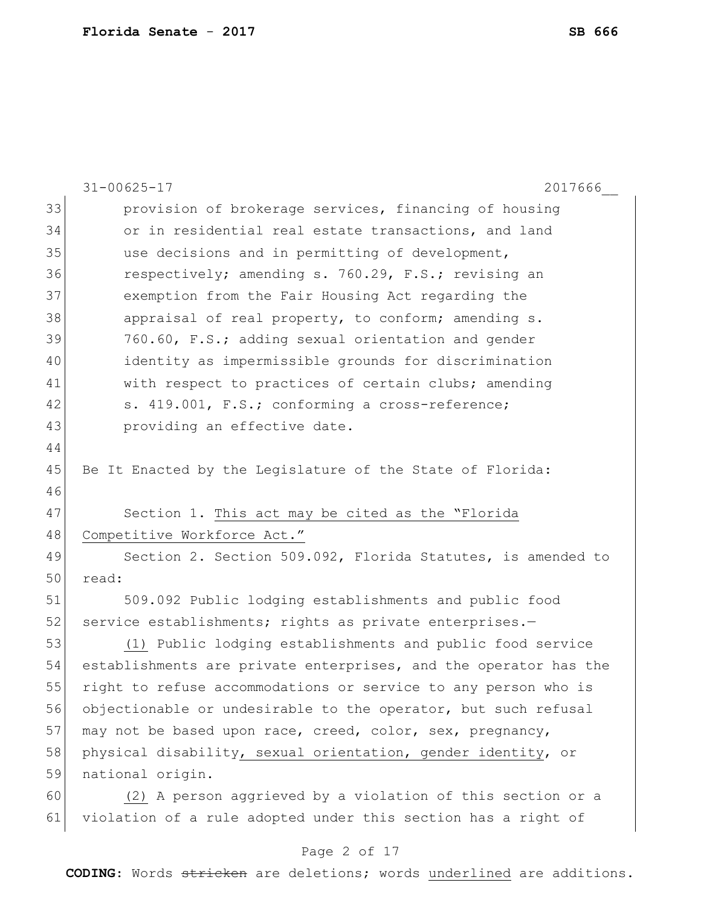|    | $31 - 00625 - 17$<br>2017666                                     |
|----|------------------------------------------------------------------|
| 33 | provision of brokerage services, financing of housing            |
| 34 | or in residential real estate transactions, and land             |
| 35 | use decisions and in permitting of development,                  |
| 36 | respectively; amending s. 760.29, F.S.; revising an              |
| 37 | exemption from the Fair Housing Act regarding the                |
| 38 | appraisal of real property, to conform; amending s.              |
| 39 | 760.60, F.S.; adding sexual orientation and gender               |
| 40 | identity as impermissible grounds for discrimination             |
| 41 | with respect to practices of certain clubs; amending             |
| 42 | s. 419.001, F.S.; conforming a cross-reference;                  |
| 43 | providing an effective date.                                     |
| 44 |                                                                  |
| 45 | Be It Enacted by the Legislature of the State of Florida:        |
| 46 |                                                                  |
| 47 | Section 1. This act may be cited as the "Florida                 |
| 48 | Competitive Workforce Act."                                      |
| 49 | Section 2. Section 509.092, Florida Statutes, is amended to      |
| 50 | read:                                                            |
| 51 | 509.092 Public lodging establishments and public food            |
| 52 | service establishments; rights as private enterprises.-          |
| 53 | (1) Public lodging establishments and public food service        |
| 54 | establishments are private enterprises, and the operator has the |
| 55 | right to refuse accommodations or service to any person who is   |
| 56 | objectionable or undesirable to the operator, but such refusal   |
| 57 | may not be based upon race, creed, color, sex, pregnancy,        |
| 58 | physical disability, sexual orientation, gender identity, or     |
| 59 | national origin.                                                 |
| 60 | (2) A person aggrieved by a violation of this section or a       |
| 61 | violation of a rule adopted under this section has a right of    |
|    |                                                                  |

# Page 2 of 17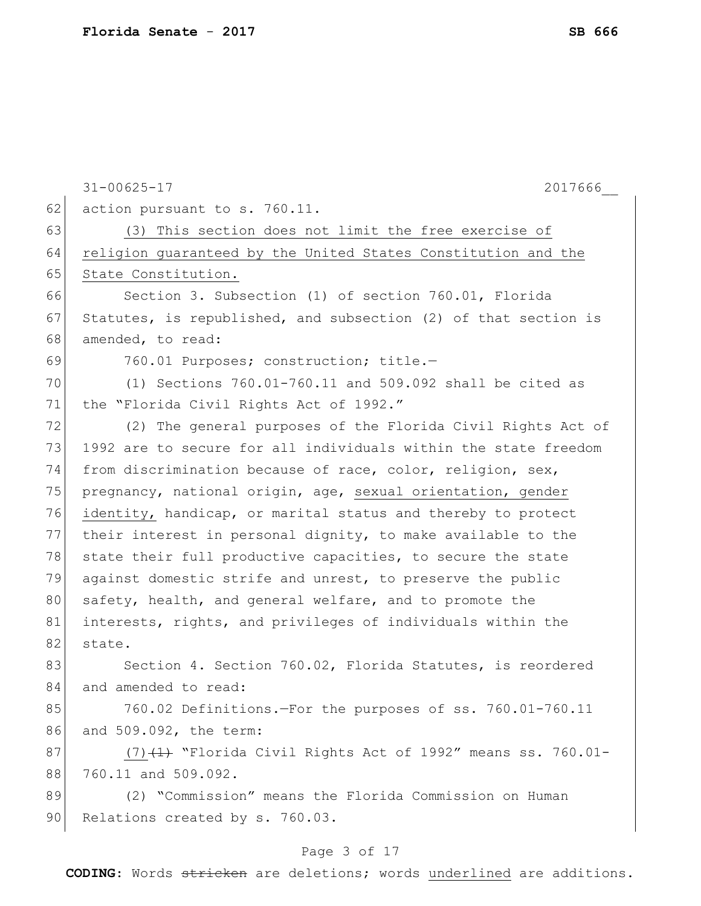|    | 2017666<br>$31 - 00625 - 17$                                     |
|----|------------------------------------------------------------------|
| 62 | action pursuant to s. 760.11.                                    |
| 63 | (3) This section does not limit the free exercise of             |
| 64 | religion guaranteed by the United States Constitution and the    |
| 65 | State Constitution.                                              |
| 66 | Section 3. Subsection (1) of section 760.01, Florida             |
| 67 | Statutes, is republished, and subsection (2) of that section is  |
| 68 | amended, to read:                                                |
| 69 | 760.01 Purposes; construction; title.-                           |
| 70 | (1) Sections $760.01 - 760.11$ and $509.092$ shall be cited as   |
| 71 | the "Florida Civil Rights Act of 1992."                          |
| 72 | (2) The general purposes of the Florida Civil Rights Act of      |
| 73 | 1992 are to secure for all individuals within the state freedom  |
| 74 | from discrimination because of race, color, religion, sex,       |
| 75 | pregnancy, national origin, age, sexual orientation, gender      |
| 76 | identity, handicap, or marital status and thereby to protect     |
| 77 | their interest in personal dignity, to make available to the     |
| 78 | state their full productive capacities, to secure the state      |
| 79 | against domestic strife and unrest, to preserve the public       |
| 80 | safety, health, and general welfare, and to promote the          |
| 81 | interests, rights, and privileges of individuals within the      |
| 82 | state.                                                           |
| 83 | Section 4. Section 760.02, Florida Statutes, is reordered        |
| 84 | and amended to read:                                             |
| 85 | 760.02 Definitions.-For the purposes of ss. 760.01-760.11        |
| 86 | and 509.092, the term:                                           |
| 87 | $(7)$ $(1)$ "Florida Civil Rights Act of 1992" means ss. 760.01- |
| 88 | 760.11 and 509.092.                                              |
| 89 | (2) "Commission" means the Florida Commission on Human           |
| 90 | Relations created by s. 760.03.                                  |

# Page 3 of 17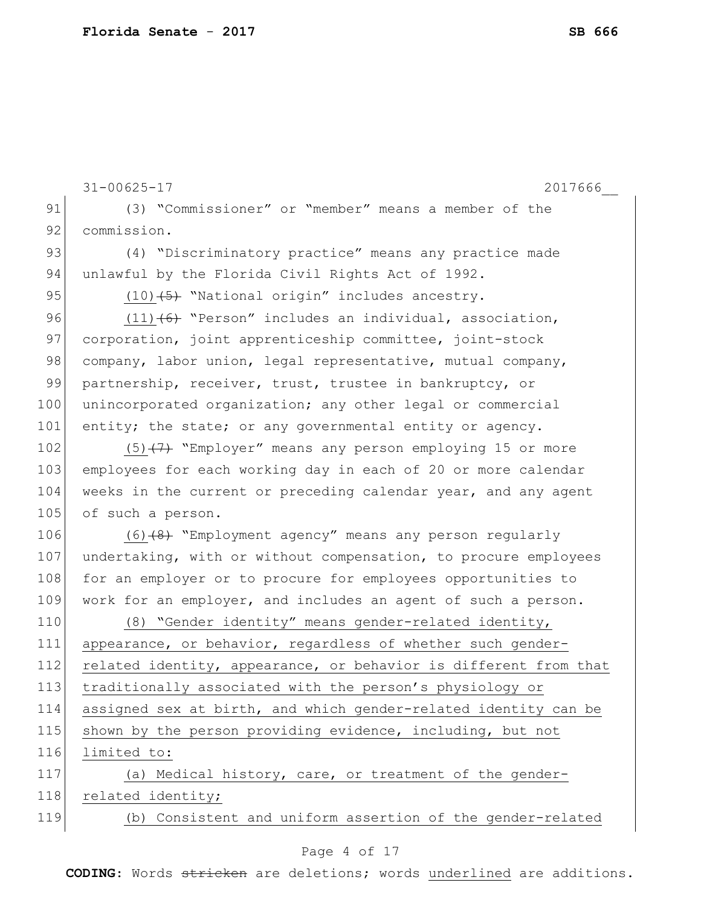|     | $31 - 00625 - 17$<br>2017666                                     |
|-----|------------------------------------------------------------------|
| 91  | (3) "Commissioner" or "member" means a member of the             |
| 92  | commission.                                                      |
| 93  | (4) "Discriminatory practice" means any practice made            |
| 94  | unlawful by the Florida Civil Rights Act of 1992.                |
| 95  | $(10)$ $(5)$ "National origin" includes ancestry.                |
| 96  | $(11)$ (6) "Person" includes an individual, association,         |
| 97  | corporation, joint apprenticeship committee, joint-stock         |
| 98  | company, labor union, legal representative, mutual company,      |
| 99  | partnership, receiver, trust, trustee in bankruptcy, or          |
| 100 | unincorporated organization; any other legal or commercial       |
| 101 | entity; the state; or any governmental entity or agency.         |
| 102 | $(5)$ +7+ "Employer" means any person employing 15 or more       |
| 103 | employees for each working day in each of 20 or more calendar    |
| 104 | weeks in the current or preceding calendar year, and any agent   |
| 105 | of such a person.                                                |
| 106 | $(6)$ +8) "Employment agency" means any person regularly         |
| 107 | undertaking, with or without compensation, to procure employees  |
| 108 | for an employer or to procure for employees opportunities to     |
| 109 | work for an employer, and includes an agent of such a person.    |
| 110 | (8) "Gender identity" means gender-related identity,             |
| 111 | appearance, or behavior, regardless of whether such gender-      |
| 112 | related identity, appearance, or behavior is different from that |
| 113 | traditionally associated with the person's physiology or         |
| 114 | assigned sex at birth, and which gender-related identity can be  |
| 115 | shown by the person providing evidence, including, but not       |
| 116 | limited to:                                                      |
| 117 | (a) Medical history, care, or treatment of the gender-           |
| 118 | related identity;                                                |
| 119 | (b) Consistent and uniform assertion of the gender-related       |

# Page 4 of 17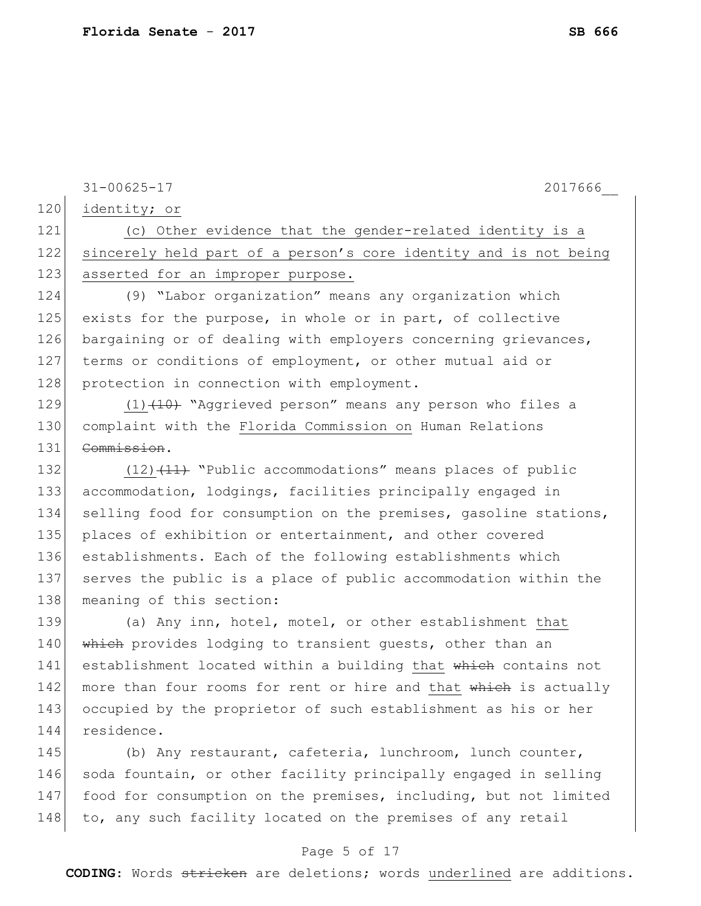| 120 | $31 - 00625 - 17$<br>2017666                                     |
|-----|------------------------------------------------------------------|
|     | identity; or                                                     |
| 121 | (c) Other evidence that the gender-related identity is a         |
| 122 | sincerely held part of a person's core identity and is not being |
| 123 | asserted for an improper purpose.                                |
| 124 | (9) "Labor organization" means any organization which            |
| 125 | exists for the purpose, in whole or in part, of collective       |
| 126 | bargaining or of dealing with employers concerning grievances,   |
| 127 | terms or conditions of employment, or other mutual aid or        |
| 128 | protection in connection with employment.                        |
| 129 | $(1)$ $(10)$ "Aggrieved person" means any person who files a     |
| 130 | complaint with the Florida Commission on Human Relations         |
| 131 | Commission.                                                      |
| 132 | $(12)$ $(11)$ "Public accommodations" means places of public     |
| 133 | accommodation, lodgings, facilities principally engaged in       |
| 134 | selling food for consumption on the premises, gasoline stations, |
| 135 | places of exhibition or entertainment, and other covered         |
| 136 | establishments. Each of the following establishments which       |
| 137 | serves the public is a place of public accommodation within the  |
| 138 | meaning of this section:                                         |
| 139 | (a) Any inn, hotel, motel, or other establishment that           |
| 140 | which provides lodging to transient quests, other than an        |
| 141 | establishment located within a building that which contains not  |
| 142 | more than four rooms for rent or hire and that which is actually |
| 143 | occupied by the proprietor of such establishment as his or her   |
| 144 | residence.                                                       |
| 145 | (b) Any restaurant, cafeteria, lunchroom, lunch counter,         |
| 146 | soda fountain, or other facility principally engaged in selling  |

147 food for consumption on the premises, including, but not limited  $148$  to, any such facility located on the premises of any retail

### Page 5 of 17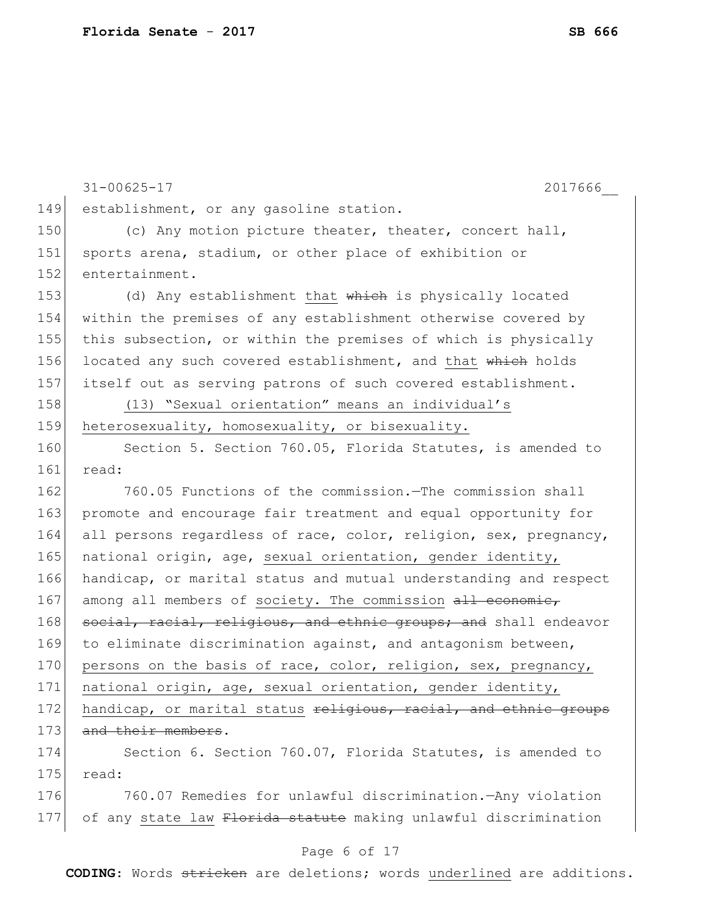31-00625-17 2017666\_\_ 149 establishment, or any gasoline station. 150 (c) Any motion picture theater, theater, concert hall, 151 sports arena, stadium, or other place of exhibition or 152 entertainment. 153 (d) Any establishment that which is physically located 154 within the premises of any establishment otherwise covered by 155 this subsection, or within the premises of which is physically 156 located any such covered establishment, and that which holds 157 itself out as serving patrons of such covered establishment. 158 (13) "Sexual orientation" means an individual's 159 heterosexuality, homosexuality, or bisexuality. 160 Section 5. Section 760.05, Florida Statutes, is amended to 161 read: 162 760.05 Functions of the commission.—The commission shall 163 promote and encourage fair treatment and equal opportunity for 164 all persons regardless of race, color, religion, sex, pregnancy, 165 national origin, age, sexual orientation, gender identity, 166 handicap, or marital status and mutual understanding and respect 167 among all members of society. The commission all economic, 168 social, racial, religious, and ethnic groups; and shall endeavor 169 to eliminate discrimination against, and antagonism between, 170 persons on the basis of race, color, religion, sex, pregnancy, 171 national origin, age, sexual orientation, gender identity, 172 handicap, or marital status religious, racial, and ethnic groups 173 and their members. 174 Section 6. Section 760.07, Florida Statutes, is amended to  $175$  read: 176 760.07 Remedies for unlawful discrimination.—Any violation 177 of any state law Florida statute making unlawful discrimination

#### Page 6 of 17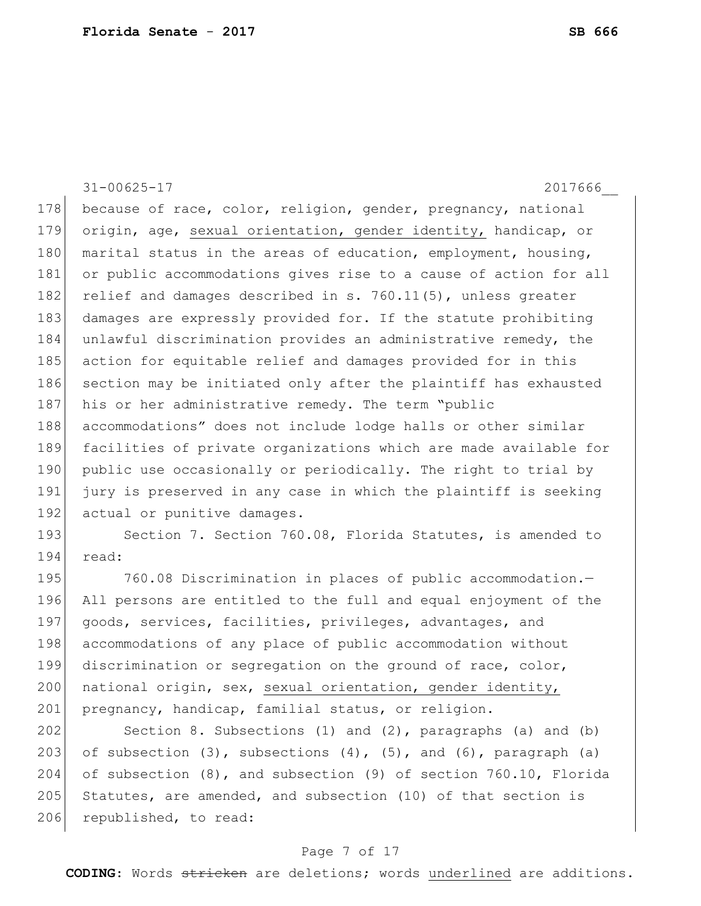|     | $31 - 00625 - 17$<br>2017666                                     |
|-----|------------------------------------------------------------------|
| 178 | because of race, color, religion, gender, pregnancy, national    |
| 179 | origin, age, sexual orientation, gender identity, handicap, or   |
| 180 | marital status in the areas of education, employment, housing,   |
| 181 | or public accommodations gives rise to a cause of action for all |
| 182 | relief and damages described in s. 760.11(5), unless greater     |
| 183 | damages are expressly provided for. If the statute prohibiting   |
| 184 | unlawful discrimination provides an administrative remedy, the   |
| 185 | action for equitable relief and damages provided for in this     |
| 186 | section may be initiated only after the plaintiff has exhausted  |
| 187 | his or her administrative remedy. The term "public               |
| 188 | accommodations" does not include lodge halls or other similar    |
| 189 | facilities of private organizations which are made available for |
| 190 | public use occasionally or periodically. The right to trial by   |
| 191 | jury is preserved in any case in which the plaintiff is seeking  |
| 192 | actual or punitive damages.                                      |
| 193 | Section 7. Section 760.08, Florida Statutes, is amended to       |
| 194 | read:                                                            |
| 195 | 760.08 Discrimination in places of public accommodation.-        |
| 196 | All persons are entitled to the full and equal enjoyment of the  |
| 197 | goods, services, facilities, privileges, advantages, and         |
| 198 | accommodations of any place of public accommodation without      |
| 199 | discrimination or segregation on the ground of race, color,      |
| 200 | national origin, sex, sexual orientation, gender identity,       |
| 201 | pregnancy, handicap, familial status, or religion.               |

202 Section 8. Subsections (1) and (2), paragraphs (a) and (b) 203 of subsection  $(3)$ , subsections  $(4)$ ,  $(5)$ , and  $(6)$ , paragraph  $(a)$ 204 of subsection (8), and subsection (9) of section 760.10, Florida 205 Statutes, are amended, and subsection  $(10)$  of that section is 206 republished, to read:

# Page 7 of 17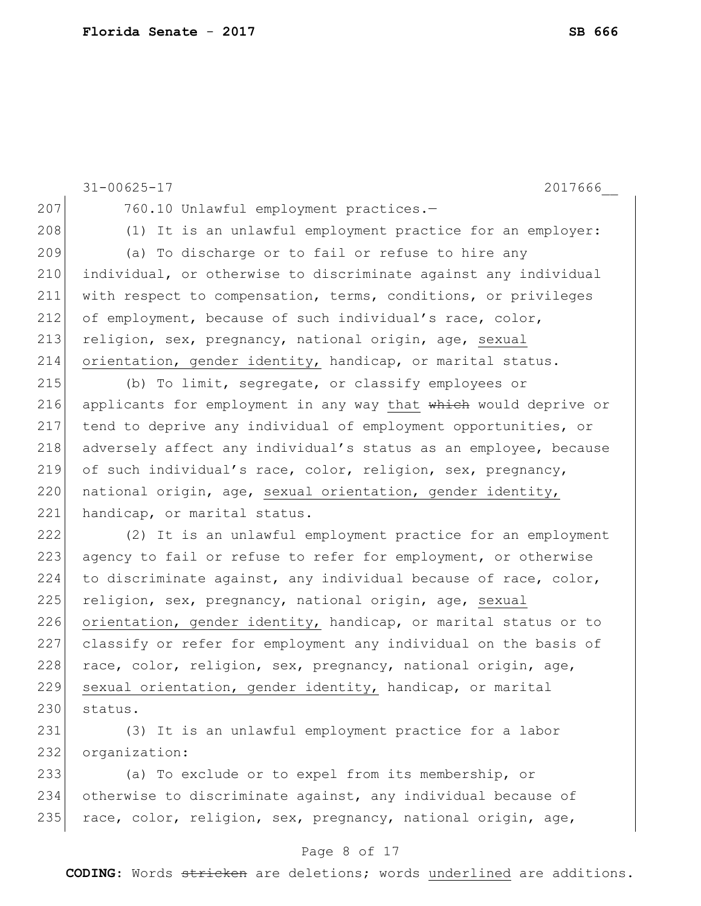|     | $31 - 00625 - 17$<br>2017666                                     |
|-----|------------------------------------------------------------------|
| 207 | 760.10 Unlawful employment practices.-                           |
| 208 | (1) It is an unlawful employment practice for an employer:       |
| 209 | (a) To discharge or to fail or refuse to hire any                |
| 210 | individual, or otherwise to discriminate against any individual  |
| 211 | with respect to compensation, terms, conditions, or privileges   |
| 212 | of employment, because of such individual's race, color,         |
| 213 | religion, sex, pregnancy, national origin, age, sexual           |
| 214 | orientation, gender identity, handicap, or marital status.       |
| 215 | (b) To limit, segregate, or classify employees or                |
| 216 | applicants for employment in any way that which would deprive or |
| 217 | tend to deprive any individual of employment opportunities, or   |
| 218 | adversely affect any individual's status as an employee, because |
| 219 | of such individual's race, color, religion, sex, pregnancy,      |
| 220 | national origin, age, sexual orientation, gender identity,       |
| 221 | handicap, or marital status.                                     |
| 222 | (2) It is an unlawful employment practice for an employment      |
| 223 | agency to fail or refuse to refer for employment, or otherwise   |
| 224 | to discriminate against, any individual because of race, color,  |
| 225 | religion, sex, pregnancy, national origin, age, sexual           |
| 226 | orientation, gender identity, handicap, or marital status or to  |
| 227 | classify or refer for employment any individual on the basis of  |
| 228 | race, color, religion, sex, pregnancy, national origin, age,     |
| 229 | sexual orientation, gender identity, handicap, or marital        |
| 230 | status.                                                          |
| 231 | (3) It is an unlawful employment practice for a labor            |
| 232 | organization:                                                    |

233 (a) To exclude or to expel from its membership, or 234 otherwise to discriminate against, any individual because of 235  $r$ ace, color, religion, sex, pregnancy, national origin, age,

### Page 8 of 17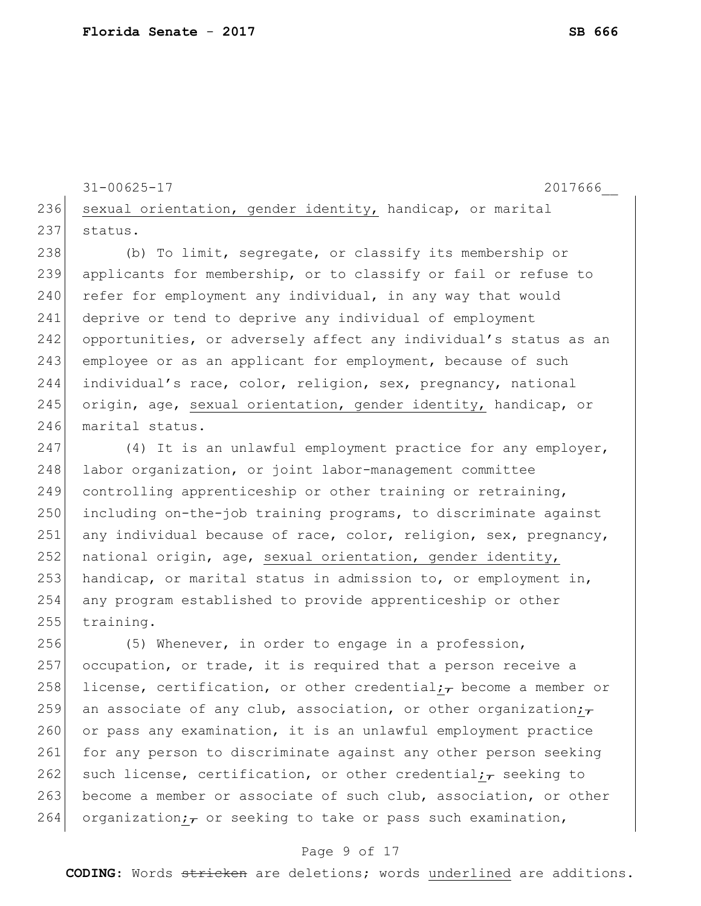```
31-00625-17 2017666__
236 sexual orientation, gender identity, handicap, or marital
237 status.
```
238 (b) To limit, segregate, or classify its membership or 239 applicants for membership, or to classify or fail or refuse to  $240$  refer for employment any individual, in any way that would 241 deprive or tend to deprive any individual of employment 242 opportunities, or adversely affect any individual's status as an 243 employee or as an applicant for employment, because of such 244 individual's race, color, religion, sex, pregnancy, national 245 origin, age, sexual orientation, gender identity, handicap, or 246 marital status.

247 (4) It is an unlawful employment practice for any employer, 248 labor organization, or joint labor-management committee 249 controlling apprenticeship or other training or retraining, 250 including on-the-job training programs, to discriminate against 251 any individual because of race, color, religion, sex, pregnancy, 252 national origin, age, sexual orientation, gender identity, 253 handicap, or marital status in admission to, or employment in, 254 any program established to provide apprenticeship or other 255 training.

256 (5) Whenever, in order to engage in a profession, 257 occupation, or trade, it is required that a person receive a 258 license, certification, or other credential; become a member or 259 an associate of any club, association, or other organization; $\tau$ 260 or pass any examination, it is an unlawful employment practice 261 for any person to discriminate against any other person seeking 262 such license, certification, or other credential;  $\tau$  seeking to 263 become a member or associate of such club, association, or other 264 organization;  $\tau$  or seeking to take or pass such examination,

### Page 9 of 17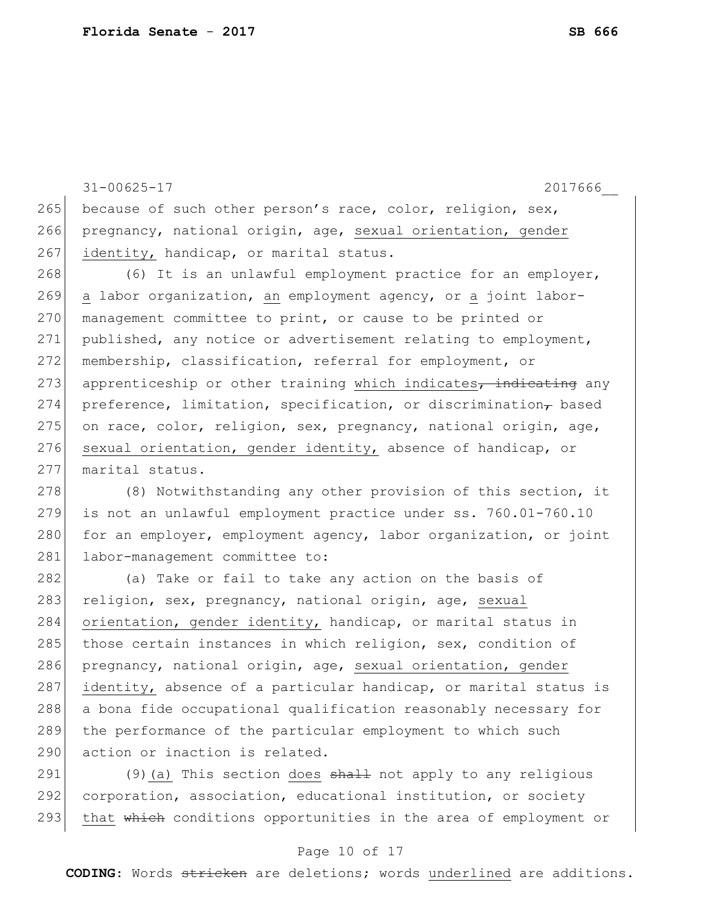31-00625-17 2017666\_\_ 265 because of such other person's race, color, religion, sex, 266 pregnancy, national origin, age, sexual orientation, gender 267 identity, handicap, or marital status. 268 (6) It is an unlawful employment practice for an employer, 269 a labor organization, an employment agency, or a joint labor-270 management committee to print, or cause to be printed or 271 published, any notice or advertisement relating to employment, 272 membership, classification, referral for employment, or 273 apprenticeship or other training which indicates, indicating any 274 preference, limitation, specification, or discrimination, based 275 on race, color, religion, sex, pregnancy, national origin, age, 276 sexual orientation, gender identity, absence of handicap, or 277 marital status. 278 (8) Notwithstanding any other provision of this section, it 279 is not an unlawful employment practice under ss. 760.01-760.10 280 for an employer, employment agency, labor organization, or joint 281 labor-management committee to: 282 (a) Take or fail to take any action on the basis of 283 religion, sex, pregnancy, national origin, age, sexual 284 orientation, gender identity, handicap, or marital status in 285 those certain instances in which religion, sex, condition of 286 pregnancy, national origin, age, sexual orientation, gender 287 identity, absence of a particular handicap, or marital status is 288 a bona fide occupational qualification reasonably necessary for

289 the performance of the particular employment to which such 290 action or inaction is related.

291 (9) (a) This section does  $\frac{1}{2}$  and  $\frac{1}{2}$  not apply to any religious 292 corporation, association, educational institution, or society 293 that which conditions opportunities in the area of employment or

### Page 10 of 17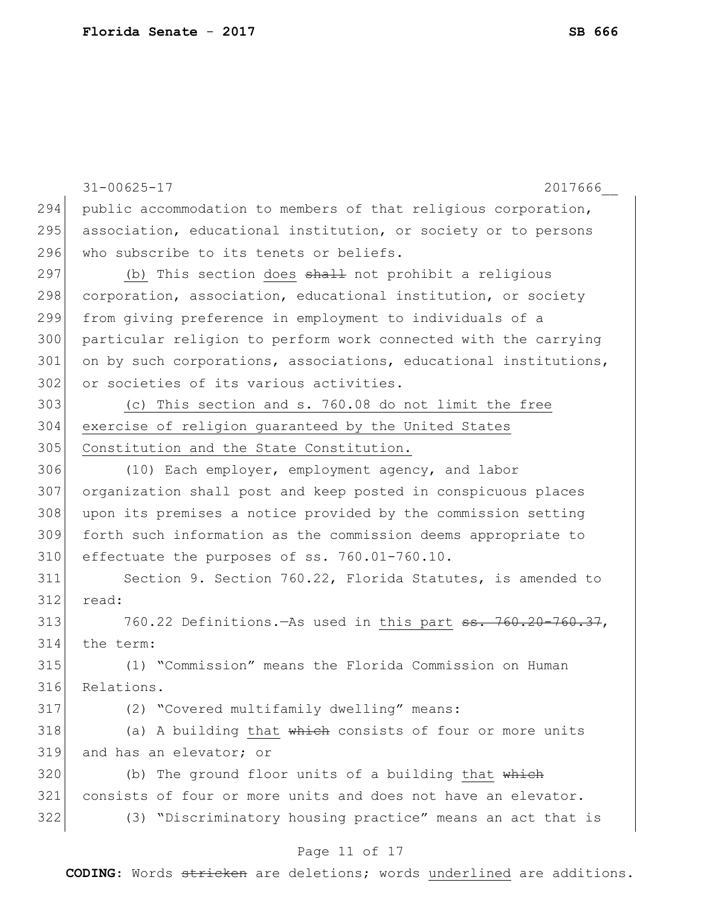|     | $31 - 00625 - 17$<br>2017666                                            |
|-----|-------------------------------------------------------------------------|
| 294 | public accommodation to members of that religious corporation,          |
| 295 | association, educational institution, or society or to persons          |
| 296 | who subscribe to its tenets or beliefs.                                 |
| 297 | (b) This section does shall not prohibit a religious                    |
| 298 | corporation, association, educational institution, or society           |
| 299 | from giving preference in employment to individuals of a                |
| 300 | particular religion to perform work connected with the carrying         |
| 301 | on by such corporations, associations, educational institutions,        |
| 302 | or societies of its various activities.                                 |
| 303 | (c) This section and s. 760.08 do not limit the free                    |
| 304 | exercise of religion guaranteed by the United States                    |
| 305 | Constitution and the State Constitution.                                |
| 306 | (10) Each employer, employment agency, and labor                        |
| 307 | organization shall post and keep posted in conspicuous places           |
| 308 | upon its premises a notice provided by the commission setting           |
| 309 | forth such information as the commission deems appropriate to           |
| 310 | effectuate the purposes of ss. 760.01-760.10.                           |
| 311 | Section 9. Section 760.22, Florida Statutes, is amended to              |
| 312 | read:                                                                   |
| 313 | 760.22 Definitions.—As used in this part <del>ss. 760.20-760.37</del> , |
| 314 | the term:                                                               |
| 315 | (1) "Commission" means the Florida Commission on Human                  |
| 316 | Relations.                                                              |
| 317 | (2) "Covered multifamily dwelling" means:                               |
| 318 | (a) A building that which consists of four or more units                |
| 319 | and has an elevator; or                                                 |
| 320 | (b) The ground floor units of a building that which                     |
| 321 | consists of four or more units and does not have an elevator.           |
| 322 | (3) "Discriminatory housing practice" means an act that is              |
|     | Page 11 of 17                                                           |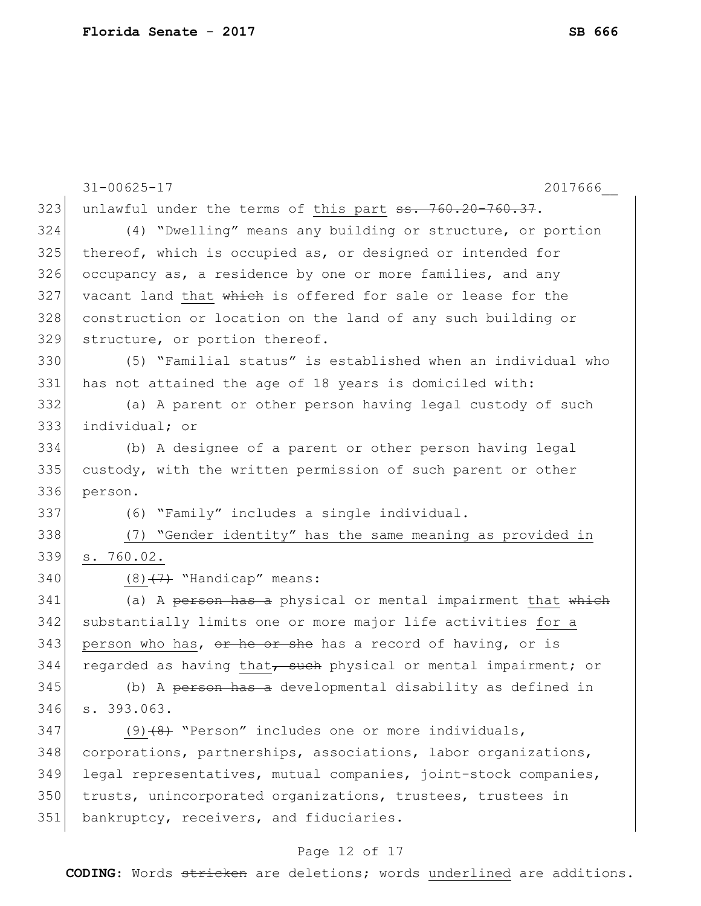|     | $31 - 00625 - 17$<br>2017666                                    |
|-----|-----------------------------------------------------------------|
| 323 | unlawful under the terms of this part ss. 760.20-760.37.        |
| 324 | (4) "Dwelling" means any building or structure, or portion      |
| 325 | thereof, which is occupied as, or designed or intended for      |
| 326 | occupancy as, a residence by one or more families, and any      |
| 327 | vacant land that which is offered for sale or lease for the     |
| 328 | construction or location on the land of any such building or    |
| 329 | structure, or portion thereof.                                  |
| 330 | (5) "Familial status" is established when an individual who     |
| 331 | has not attained the age of 18 years is domiciled with:         |
| 332 | (a) A parent or other person having legal custody of such       |
| 333 | individual; or                                                  |
| 334 | (b) A designee of a parent or other person having legal         |
| 335 | custody, with the written permission of such parent or other    |
| 336 | person.                                                         |
| 337 | (6) "Family" includes a single individual.                      |
| 338 | (7) "Gender identity" has the same meaning as provided in       |
| 339 | s. 760.02.                                                      |
| 340 | $(8)$ $(7)$ "Handicap" means:                                   |
| 341 | (a) A person has a physical or mental impairment that which     |
| 342 | substantially limits one or more major life activities for a    |
| 343 | person who has, or he or she has a record of having, or is      |
| 344 | regarded as having that, such physical or mental impairment; or |
| 345 | (b) A person has a developmental disability as defined in       |
| 346 | s. 393.063.                                                     |
| 347 | $(9)$ $(8)$ "Person" includes one or more individuals,          |
| 348 | corporations, partnerships, associations, labor organizations,  |
| 349 | legal representatives, mutual companies, joint-stock companies, |
| 350 | trusts, unincorporated organizations, trustees, trustees in     |
| 351 | bankruptcy, receivers, and fiduciaries.                         |
|     |                                                                 |

# Page 12 of 17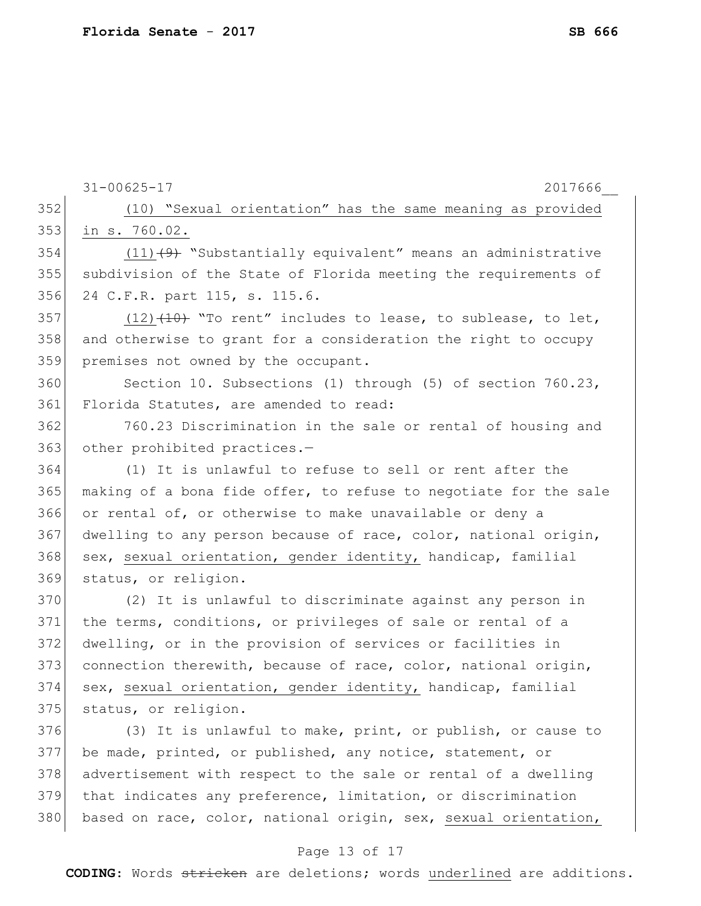|     | 2017666<br>$31 - 00625 - 17$                                     |
|-----|------------------------------------------------------------------|
| 352 | (10) "Sexual orientation" has the same meaning as provided       |
| 353 | in s. 760.02.                                                    |
| 354 | $(11)$ $(9)$ "Substantially equivalent" means an administrative  |
| 355 | subdivision of the State of Florida meeting the requirements of  |
| 356 | 24 C.F.R. part 115, s. 115.6.                                    |
| 357 | $(12)$ $(10)$ "To rent" includes to lease, to sublease, to let,  |
| 358 | and otherwise to grant for a consideration the right to occupy   |
| 359 | premises not owned by the occupant.                              |
| 360 | Section 10. Subsections (1) through (5) of section 760.23,       |
| 361 | Florida Statutes, are amended to read:                           |
| 362 | 760.23 Discrimination in the sale or rental of housing and       |
| 363 | other prohibited practices.-                                     |
| 364 | (1) It is unlawful to refuse to sell or rent after the           |
| 365 | making of a bona fide offer, to refuse to negotiate for the sale |
| 366 | or rental of, or otherwise to make unavailable or deny a         |
| 367 | dwelling to any person because of race, color, national origin,  |
| 368 | sex, sexual orientation, gender identity, handicap, familial     |
| 369 | status, or religion.                                             |
| 370 | (2) It is unlawful to discriminate against any person in         |
| 371 | the terms, conditions, or privileges of sale or rental of a      |
| 372 | dwelling, or in the provision of services or facilities in       |
| 373 | connection therewith, because of race, color, national origin,   |
| 374 | sex, sexual orientation, gender identity, handicap, familial     |
| 375 | status, or religion.                                             |
| 376 | (3) It is unlawful to make, print, or publish, or cause to       |
| 377 | be made, printed, or published, any notice, statement, or        |
| 378 | advertisement with respect to the sale or rental of a dwelling   |
| 379 | that indicates any preference, limitation, or discrimination     |
| 380 | based on race, color, national origin, sex, sexual orientation,  |
|     |                                                                  |

### Page 13 of 17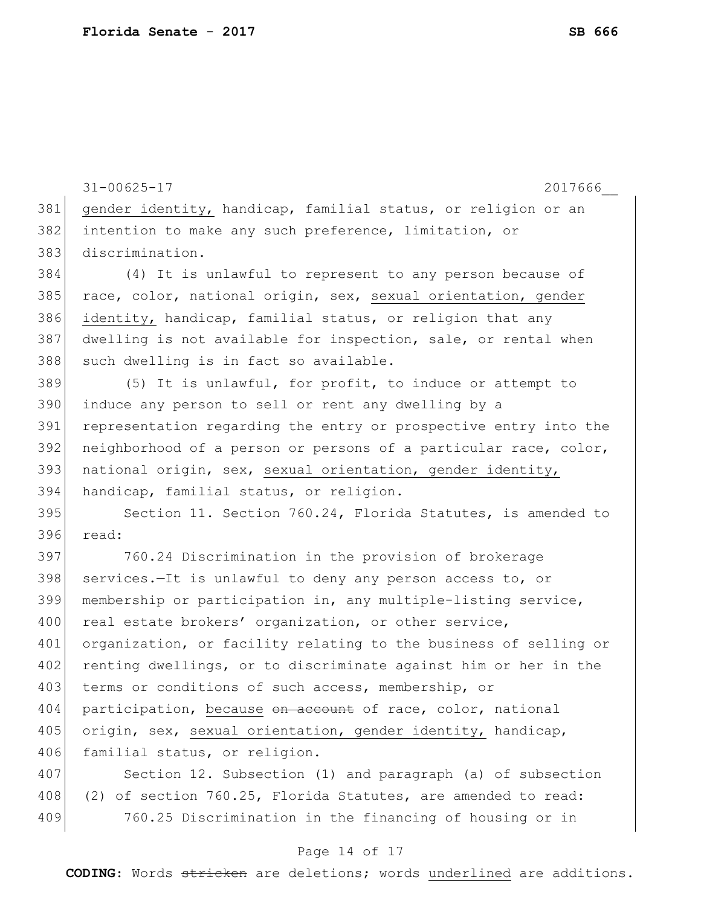31-00625-17 2017666\_\_ 381 gender identity, handicap, familial status, or religion or an 382 intention to make any such preference, limitation, or 383 discrimination. 384 (4) It is unlawful to represent to any person because of 385 race, color, national origin, sex, sexual orientation, gender 386 identity, handicap, familial status, or religion that any 387 dwelling is not available for inspection, sale, or rental when 388 such dwelling is in fact so available. 389 (5) It is unlawful, for profit, to induce or attempt to 390 induce any person to sell or rent any dwelling by a 391 representation regarding the entry or prospective entry into the 392 neighborhood of a person or persons of a particular race, color, 393 national origin, sex, sexual orientation, gender identity, 394 handicap, familial status, or religion. 395 Section 11. Section 760.24, Florida Statutes, is amended to 396 read: 397 760.24 Discrimination in the provision of brokerage  $398$  services.—It is unlawful to deny any person access to, or 399 membership or participation in, any multiple-listing service, 400 real estate brokers' organization, or other service, 401 organization, or facility relating to the business of selling or 402 renting dwellings, or to discriminate against him or her in the 403 terms or conditions of such access, membership, or 404 participation, because on account of race, color, national 405 origin, sex, sexual orientation, gender identity, handicap, 406 familial status, or religion. 407 Section 12. Subsection (1) and paragraph (a) of subsection 408 (2) of section 760.25, Florida Statutes, are amended to read: 409 760.25 Discrimination in the financing of housing or in

#### Page 14 of 17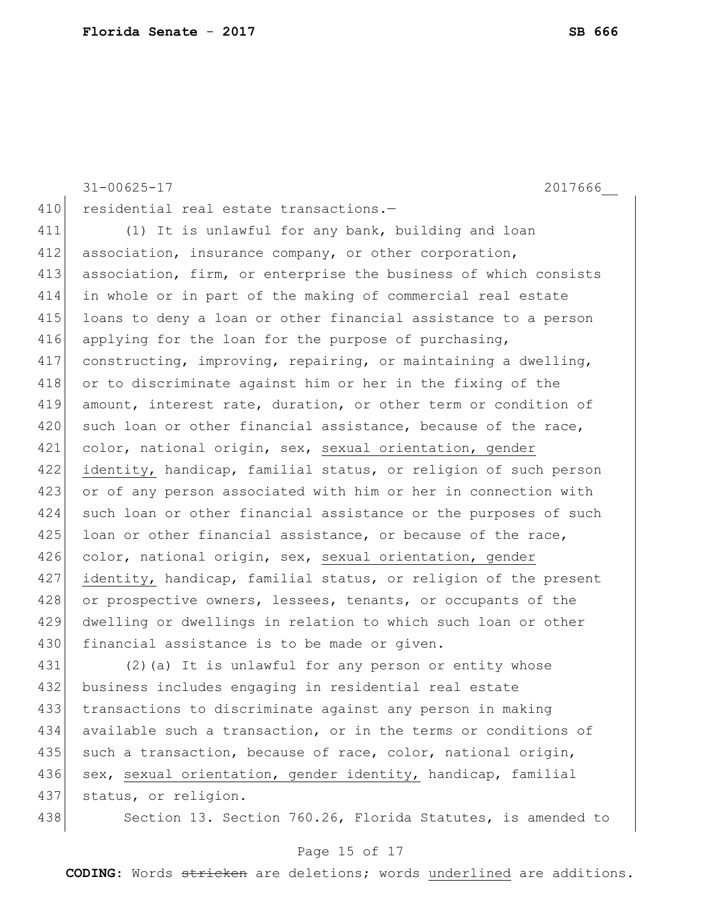31-00625-17 2017666\_\_ 410 residential real estate transactions.-411 (1) It is unlawful for any bank, building and loan 412 association, insurance company, or other corporation, 413 association, firm, or enterprise the business of which consists 414 in whole or in part of the making of commercial real estate 415 loans to deny a loan or other financial assistance to a person 416 applying for the loan for the purpose of purchasing, 417 constructing, improving, repairing, or maintaining a dwelling, 418 or to discriminate against him or her in the fixing of the 419 amount, interest rate, duration, or other term or condition of 420 such loan or other financial assistance, because of the race, 421 color, national origin, sex, sexual orientation, gender 422 identity, handicap, familial status, or religion of such person 423 or of any person associated with him or her in connection with 424 such loan or other financial assistance or the purposes of such  $425$  loan or other financial assistance, or because of the race, 426 color, national origin, sex, sexual orientation, gender 427 identity, handicap, familial status, or religion of the present 428 or prospective owners, lessees, tenants, or occupants of the 429 dwelling or dwellings in relation to which such loan or other 430 financial assistance is to be made or given. 431 (2)(a) It is unlawful for any person or entity whose

432 business includes engaging in residential real estate 433 transactions to discriminate against any person in making 434 available such a transaction, or in the terms or conditions of 435 such a transaction, because of race, color, national origin, 436 sex, sexual orientation, gender identity, handicap, familial 437 status, or religion.

438 Section 13. Section 760.26, Florida Statutes, is amended to

#### Page 15 of 17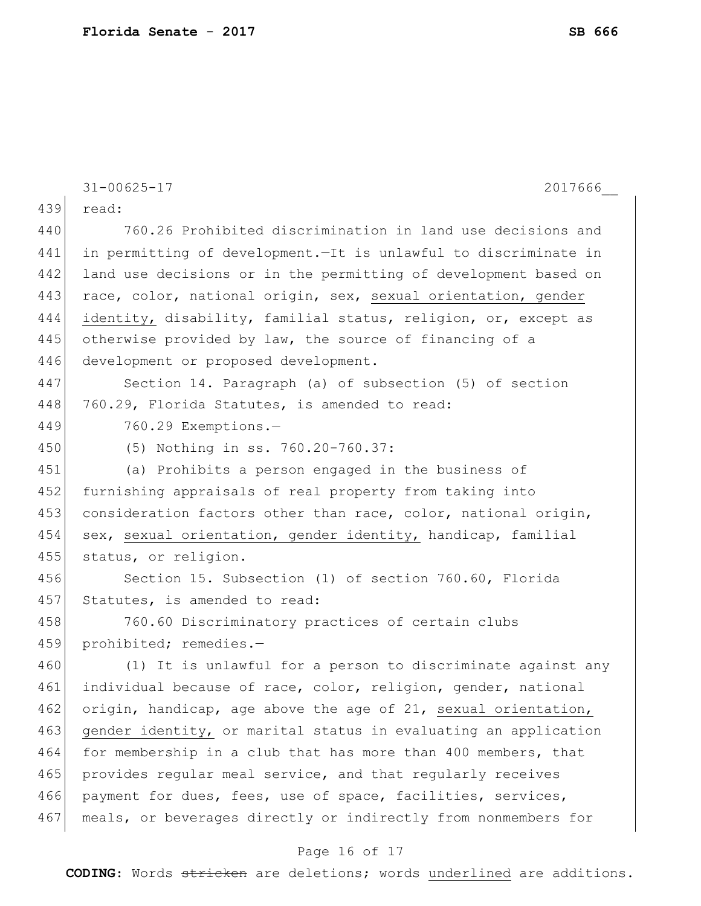|     | $31 - 00625 - 17$<br>2017666                                      |
|-----|-------------------------------------------------------------------|
| 439 | read:                                                             |
| 440 | 760.26 Prohibited discrimination in land use decisions and        |
| 441 | in permitting of development. - It is unlawful to discriminate in |
| 442 | land use decisions or in the permitting of development based on   |
| 443 | race, color, national origin, sex, sexual orientation, gender     |
| 444 | identity, disability, familial status, religion, or, except as    |
| 445 | otherwise provided by law, the source of financing of a           |
| 446 | development or proposed development.                              |
| 447 | Section 14. Paragraph (a) of subsection (5) of section            |
| 448 | 760.29, Florida Statutes, is amended to read:                     |
| 449 | 760.29 Exemptions.-                                               |
| 450 | (5) Nothing in ss. 760.20-760.37:                                 |
| 451 | (a) Prohibits a person engaged in the business of                 |
| 452 | furnishing appraisals of real property from taking into           |
| 453 | consideration factors other than race, color, national origin,    |
| 454 | sex, sexual orientation, gender identity, handicap, familial      |
| 455 | status, or religion.                                              |
| 456 | Section 15. Subsection (1) of section 760.60, Florida             |
| 457 | Statutes, is amended to read:                                     |
| 458 | 760.60 Discriminatory practices of certain clubs                  |
| 459 | prohibited; remedies.-                                            |
| 460 | (1) It is unlawful for a person to discriminate against any       |
| 461 | individual because of race, color, religion, gender, national     |
| 462 | origin, handicap, age above the age of 21, sexual orientation,    |
| 463 | gender identity, or marital status in evaluating an application   |
| 464 | for membership in a club that has more than 400 members, that     |
| 465 | provides regular meal service, and that regularly receives        |
| 466 | payment for dues, fees, use of space, facilities, services,       |
| 467 | meals, or beverages directly or indirectly from nonmembers for    |

# Page 16 of 17